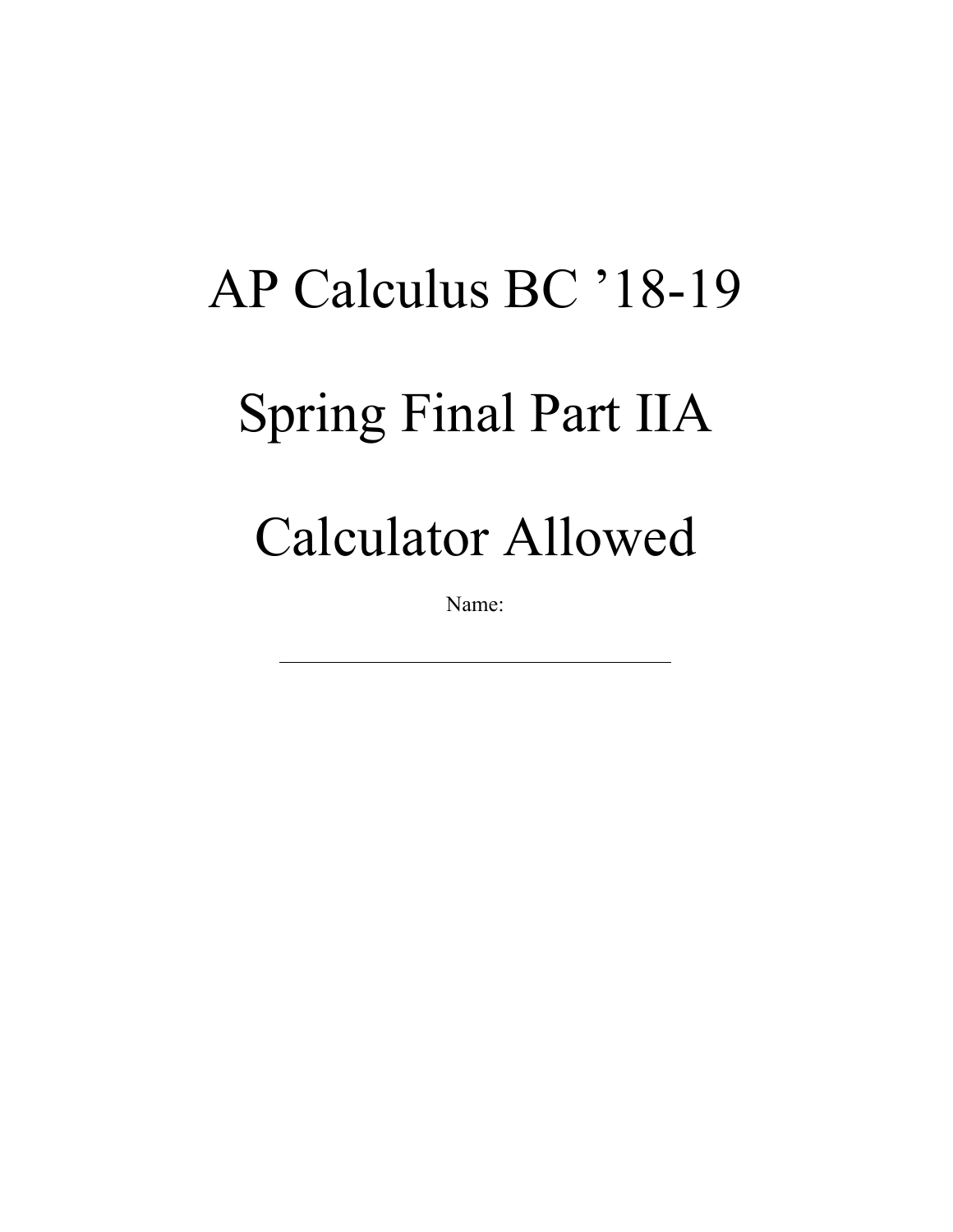## AP Calculus BC '18-19 Spring Final Part IIA Calculator Allowed

Name: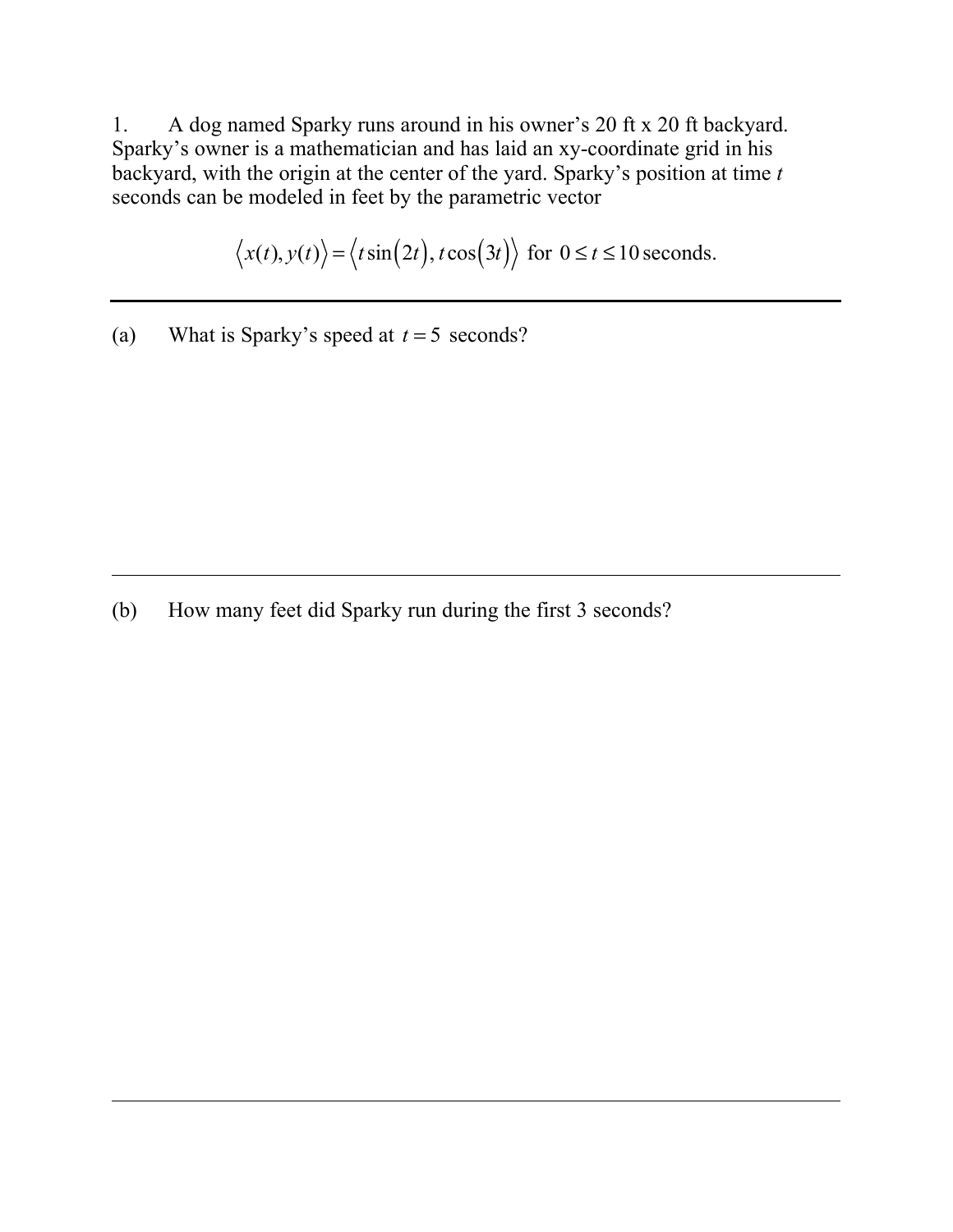1. A dog named Sparky runs around in his owner's 20 ft x 20 ft backyard. Sparky's owner is a mathematician and has laid an xy-coordinate grid in his backyard, with the origin at the center of the yard. Sparky's position at time *t*  seconds can be modeled in feet by the parametric vector

 $f(x(t), y(t)) = \langle t \sin(2t), t \cos(3t) \rangle$  for  $0 \le t \le 10$  seconds.

(a) What is Sparky's speed at  $t = 5$  seconds?

(b) How many feet did Sparky run during the first 3 seconds?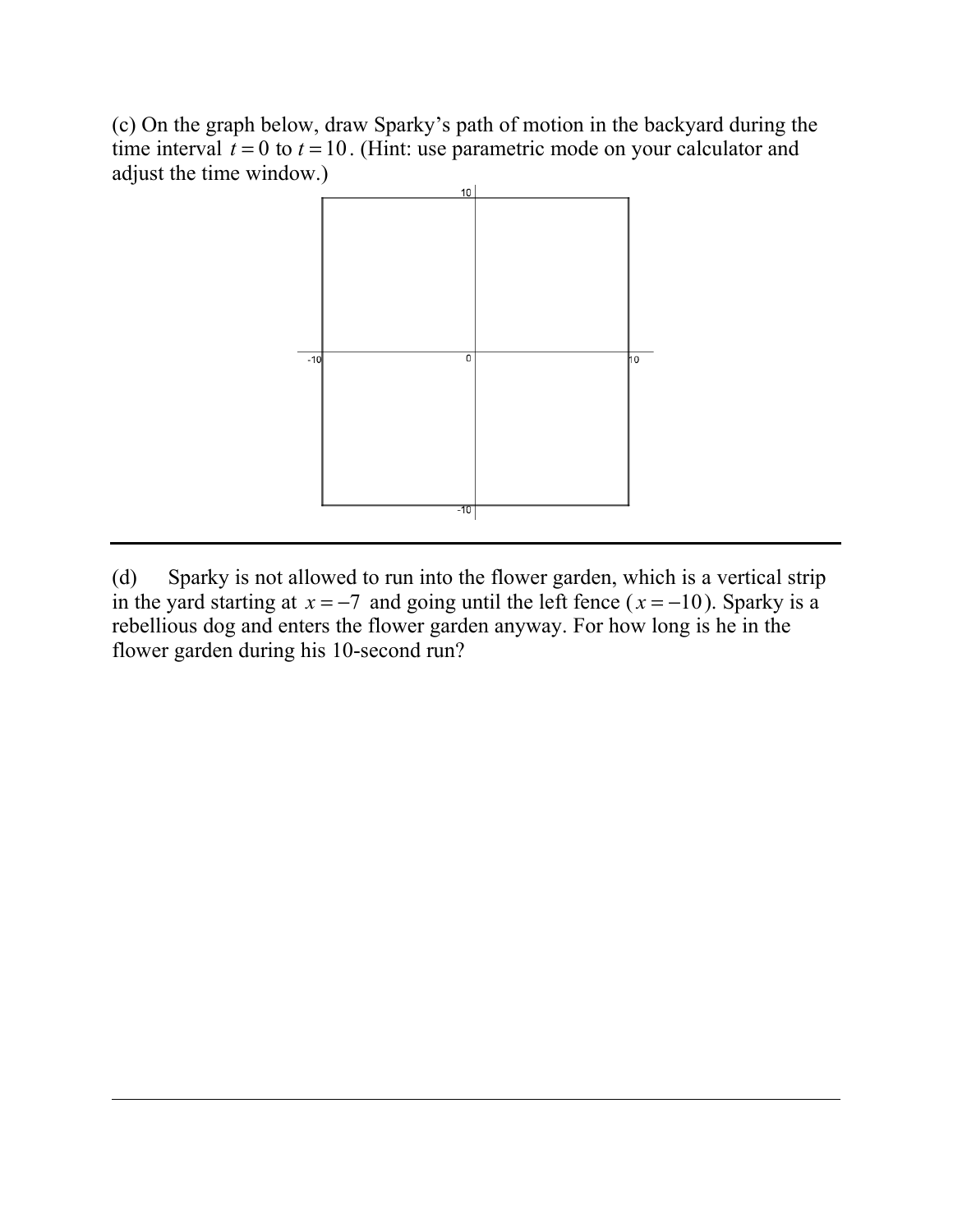(c) On the graph below, draw Sparky's path of motion in the backyard during the time interval  $t = 0$  to  $t = 10$ . (Hint: use parametric mode on your calculator and adjust the time window.)



(d) Sparky is not allowed to run into the flower garden, which is a vertical strip in the yard starting at  $x = -7$  and going until the left fence ( $x = -10$ ). Sparky is a rebellious dog and enters the flower garden anyway. For how long is he in the flower garden during his 10-second run?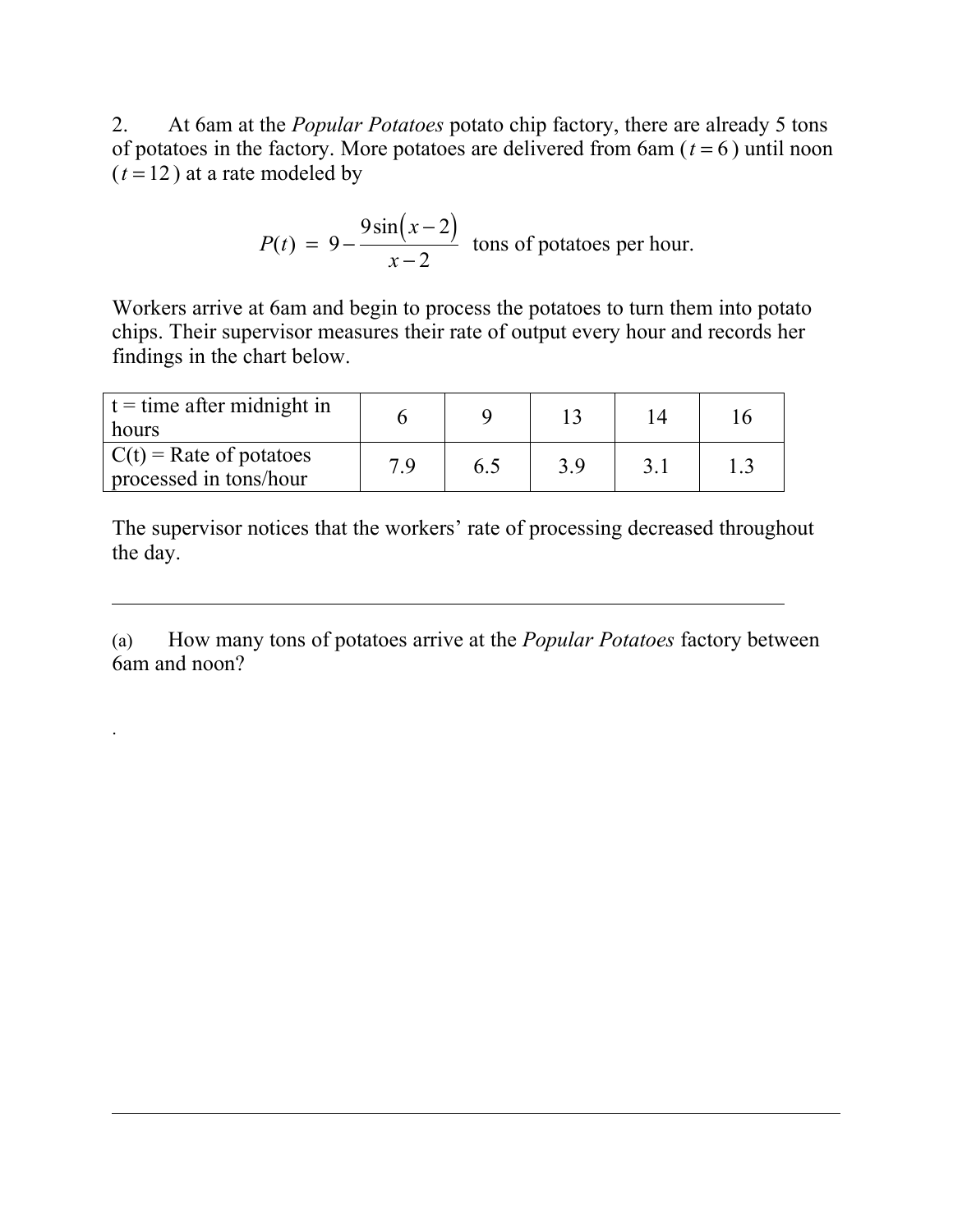2. At 6am at the *Popular Potatoes* potato chip factory, there are already 5 tons of potatoes in the factory. More potatoes are delivered from  $6am (t = 6)$  until noon  $(t = 12)$  at a rate modeled by

$$
P(t) = 9 - \frac{9\sin(x-2)}{x-2}
$$
tons of potatoes per hour.

Workers arrive at 6am and begin to process the potatoes to turn them into potato chips. Their supervisor measures their rate of output every hour and records her findings in the chart below.

| $t =$ time after midnight in<br>hours               |    |     |     |  |
|-----------------------------------------------------|----|-----|-----|--|
| $C(t)$ = Rate of potatoes<br>processed in tons/hour | 79 | 6.5 | 3.9 |  |

The supervisor notices that the workers' rate of processing decreased throughout the day.

(a) How many tons of potatoes arrive at the *Popular Potatoes* factory between 6am and noon?

.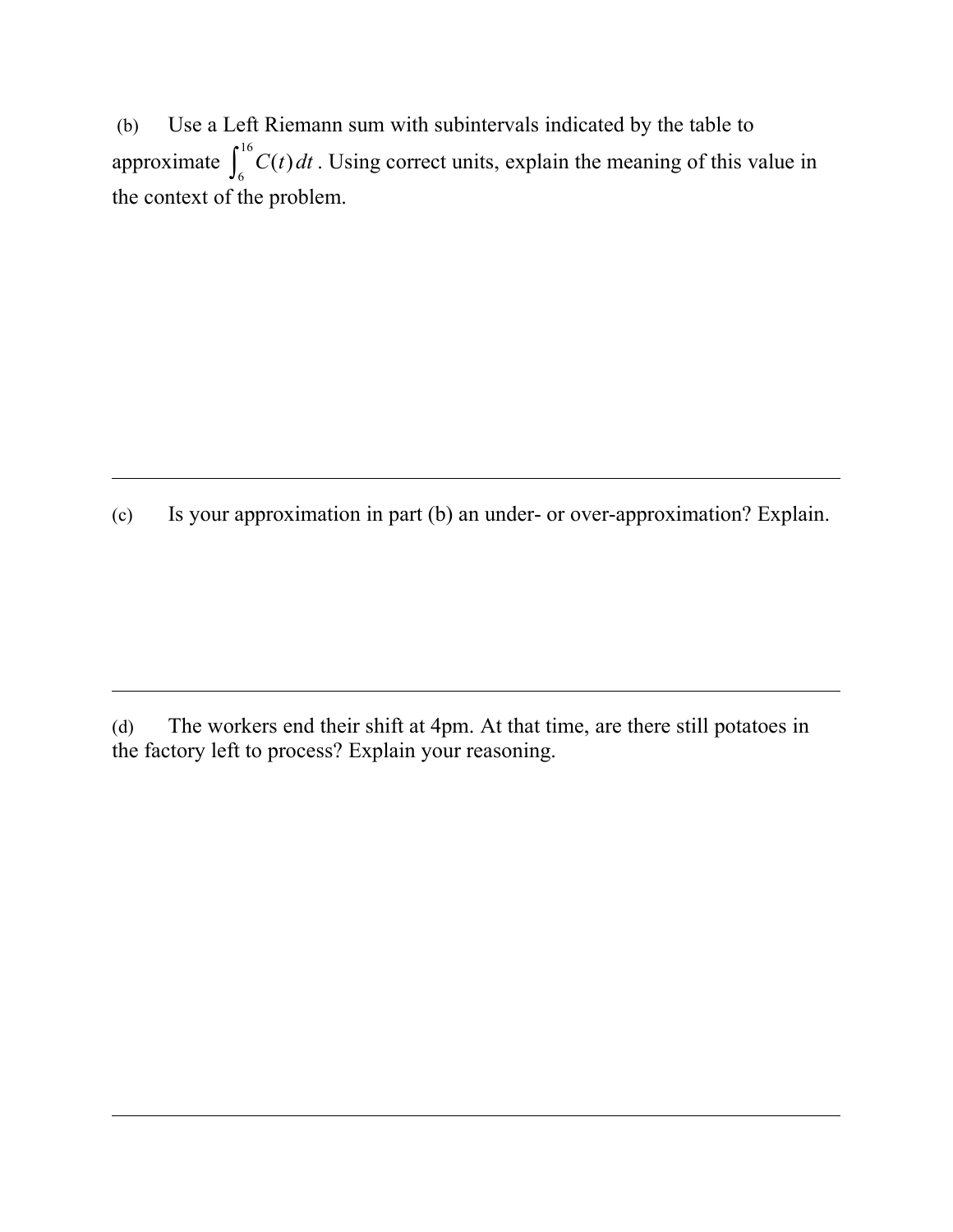(b) Use a Left Riemann sum with subintervals indicated by the table to approximate  $\int_{6}^{\infty} C(t) dt$ . Using correct units, explain the meaning of this value in the context of the problem.  $\int_6^{16}$ 

(c) Is your approximation in part (b) an under- or over-approximation? Explain.

(d) The workers end their shift at 4pm. At that time, are there still potatoes in the factory left to process? Explain your reasoning.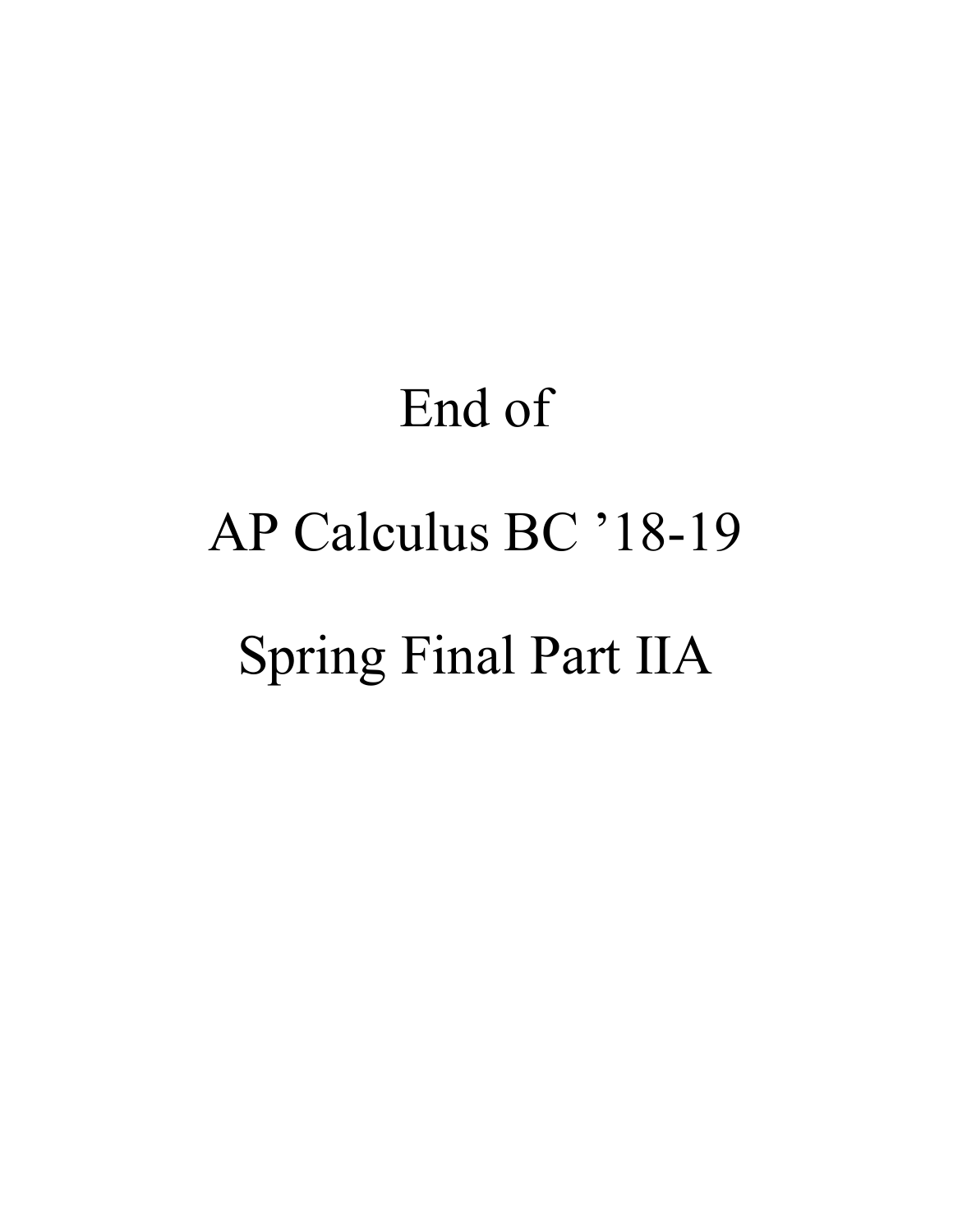## End of AP Calculus BC '18-19 Spring Final Part IIA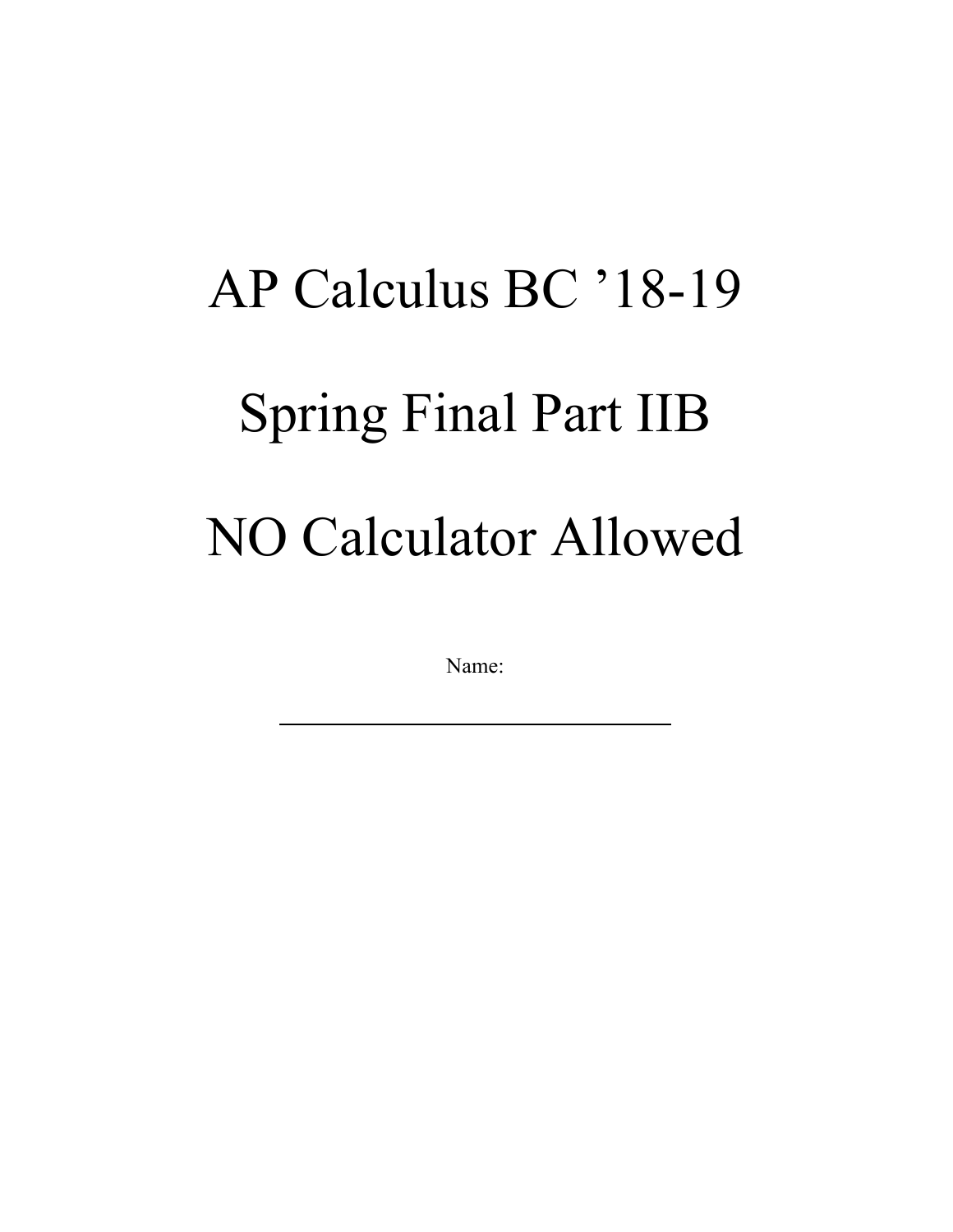## AP Calculus BC '18-19 Spring Final Part IIB NO Calculator Allowed

Name: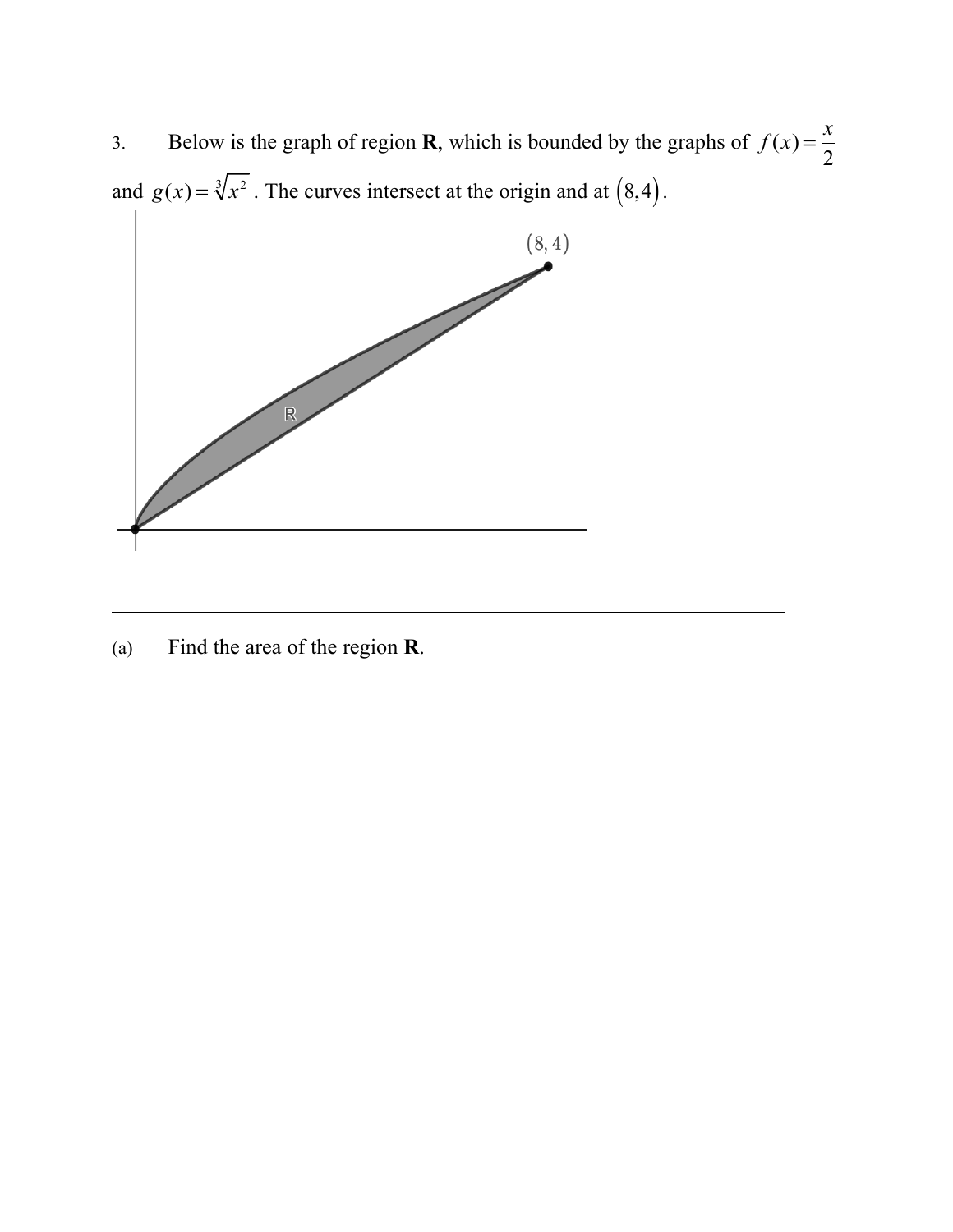3. Below is the graph of region **R**, which is bounded by the graphs of  $f(x) = \frac{x}{2}$ and  $g(x) = \sqrt[3]{x^2}$ . The curves intersect at the origin and at  $(8,4)$ . 2



(a) Find the area of the region **R**.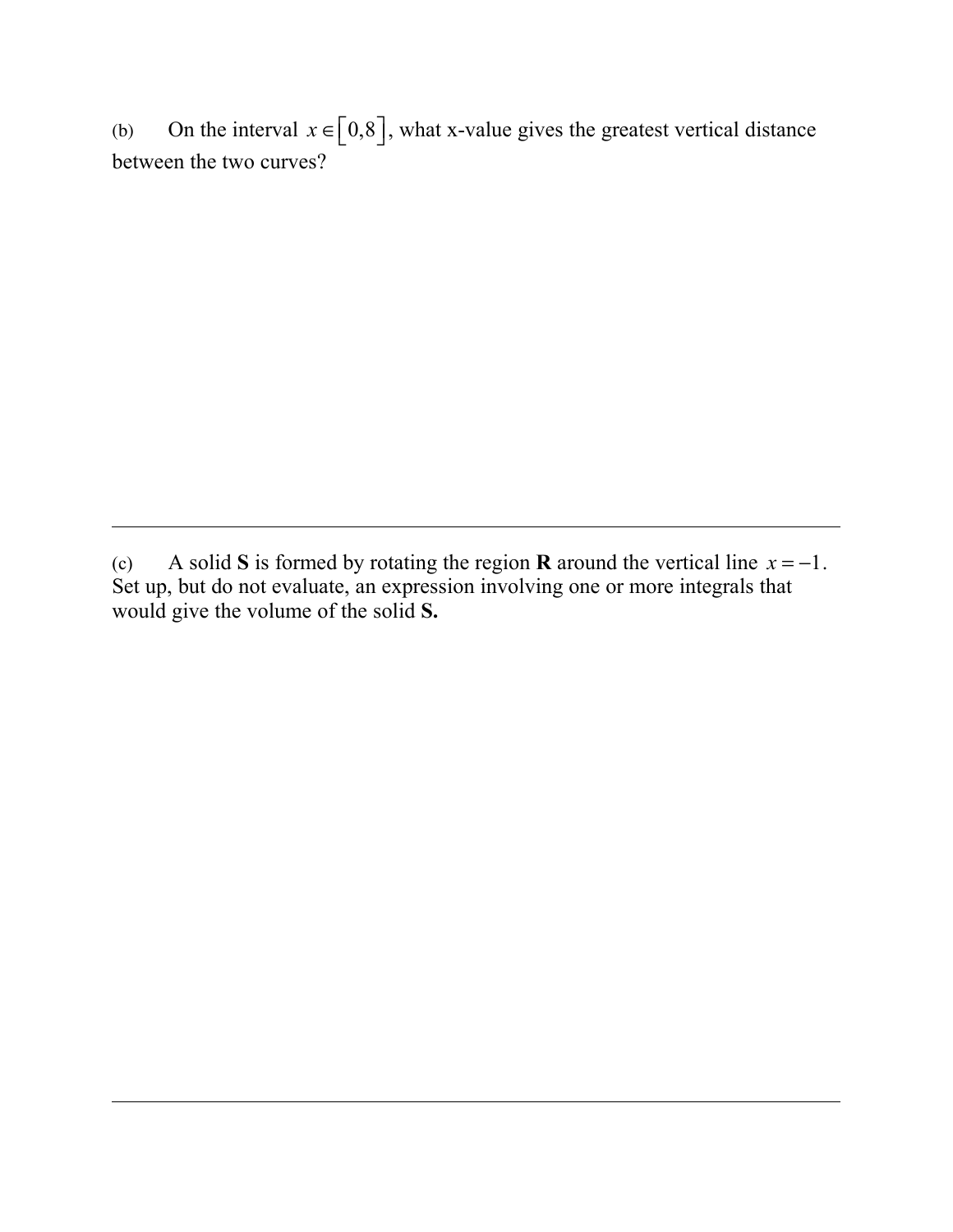(b) On the interval  $x \in \lfloor 0.8 \rfloor$ , what x-value gives the greatest vertical distance between the two curves?

<sup>(</sup>c) A solid S is formed by rotating the region **R** around the vertical line  $x = -1$ . Set up, but do not evaluate, an expression involving one or more integrals that would give the volume of the solid **S.**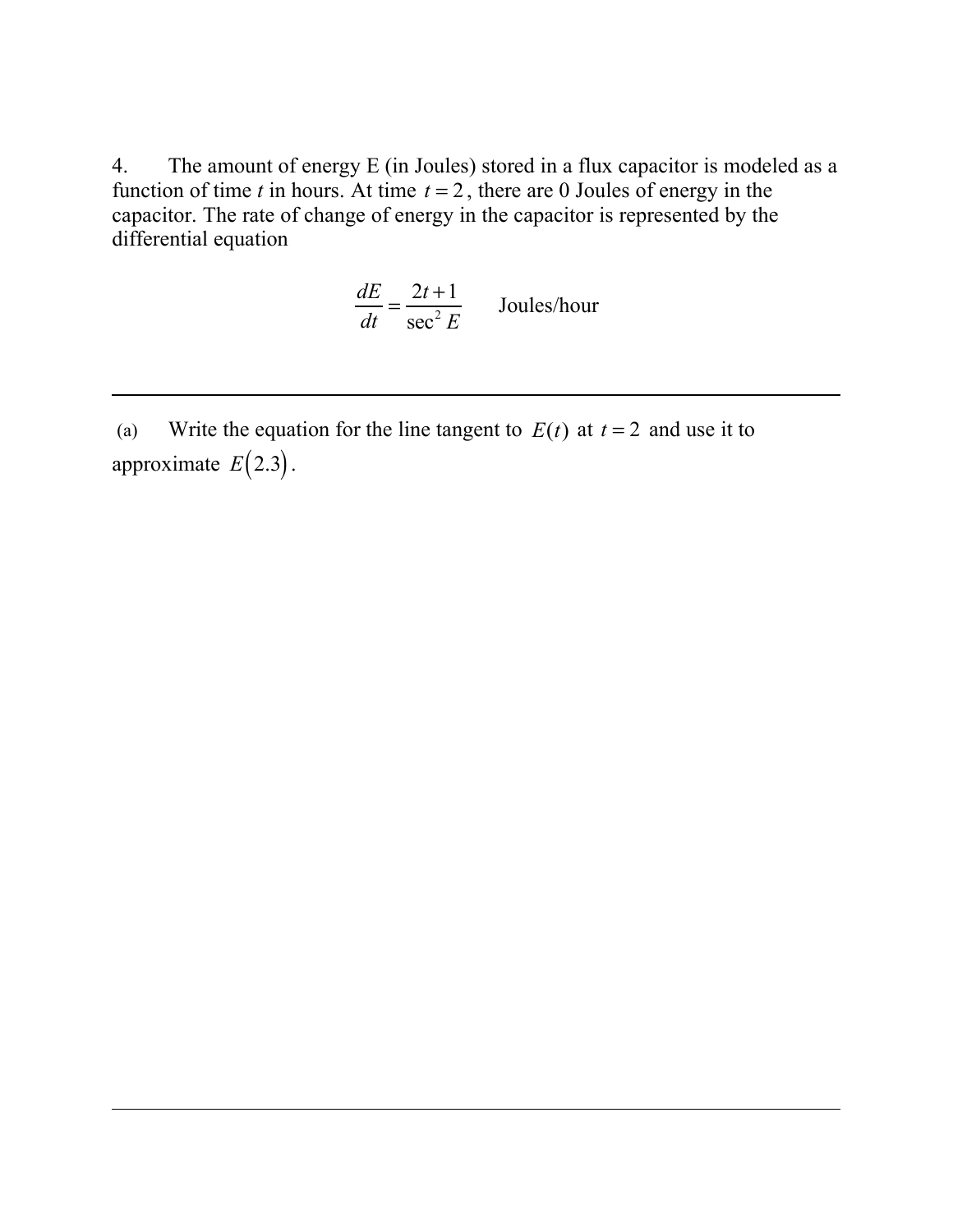4. The amount of energy E (in Joules) stored in a flux capacitor is modeled as a function of time *t* in hours. At time  $t = 2$ , there are 0 Joules of energy in the capacitor. The rate of change of energy in the capacitor is represented by the differential equation

$$
\frac{dE}{dt} = \frac{2t+1}{\sec^2 E}
$$
 Joules/hour

(a) Write the equation for the line tangent to  $E(t)$  at  $t = 2$  and use it to approximate  $E(2.3)$ .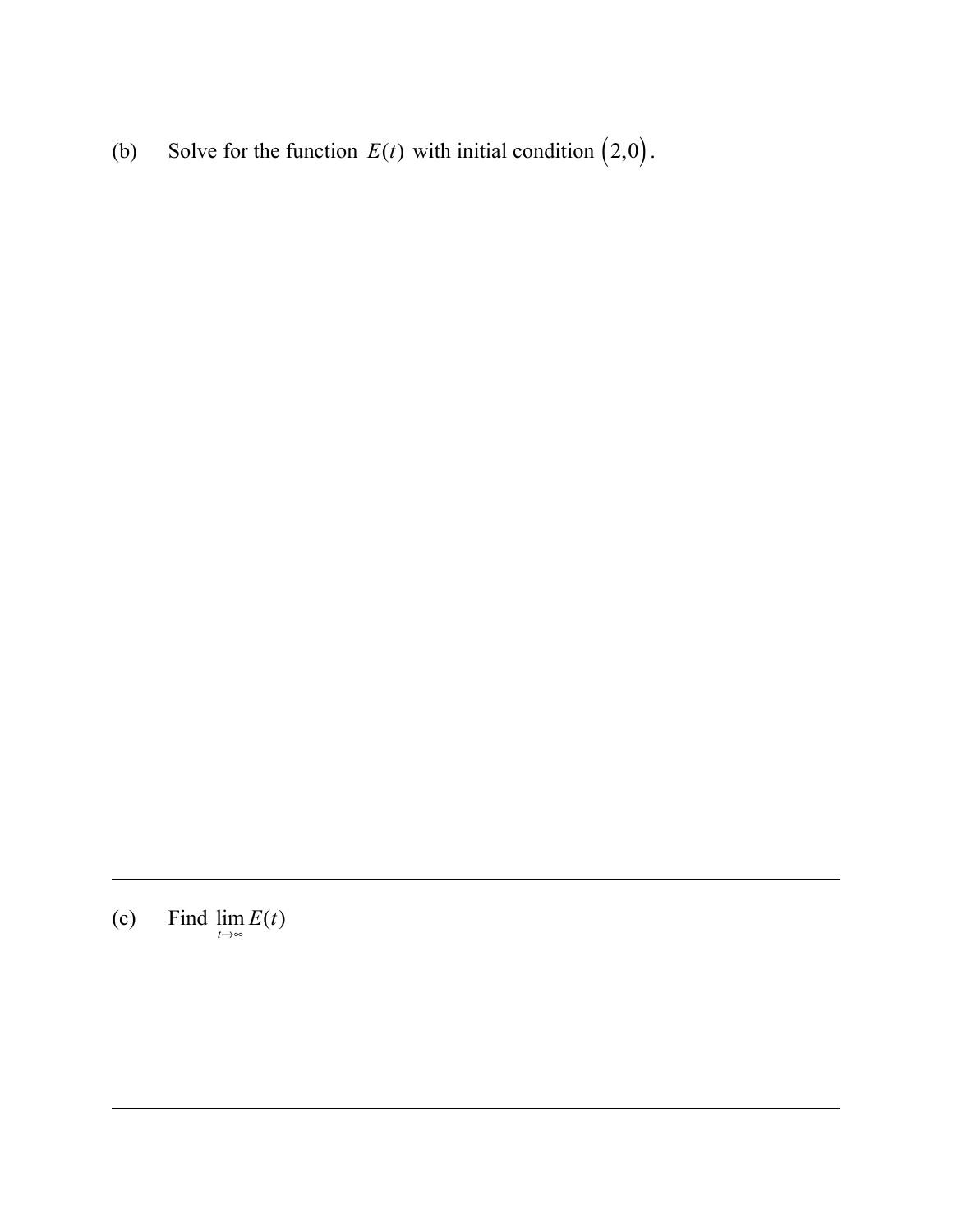(b) Solve for the function  $E(t)$  with initial condition  $(2,0)$ .

(c) Find  $\lim_{t \to \infty} E(t)$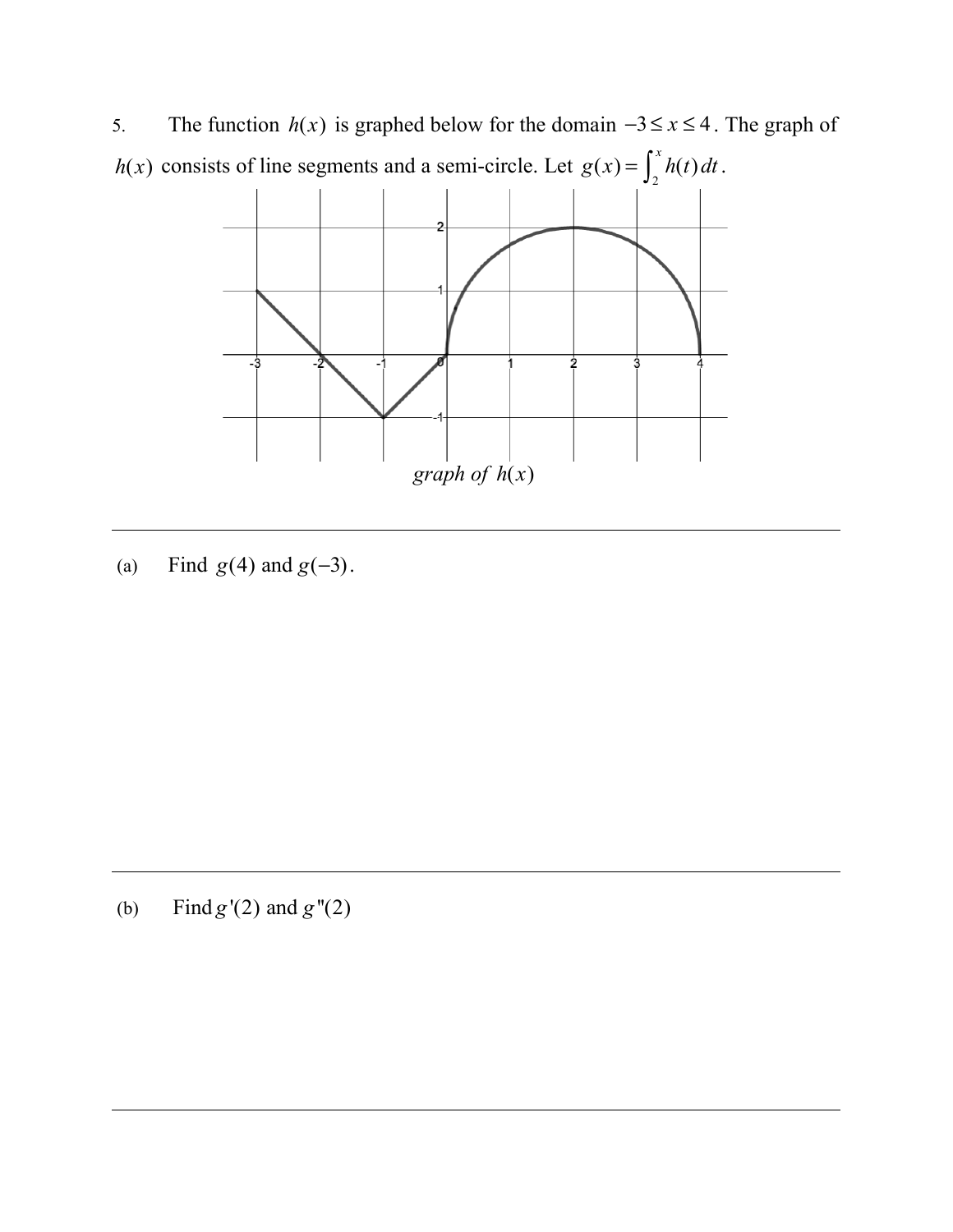5. The function  $h(x)$  is graphed below for the domain  $-3 \le x \le 4$ . The graph of  $h(x)$  consists of line segments and a semi-circle. Let  $g(x) = \int_2^x h(t) dt$ .  $\int_2^x$ 



(a) Find  $g(4)$  and  $g(-3)$ .

(b) Find  $g'(2)$  and  $g''(2)$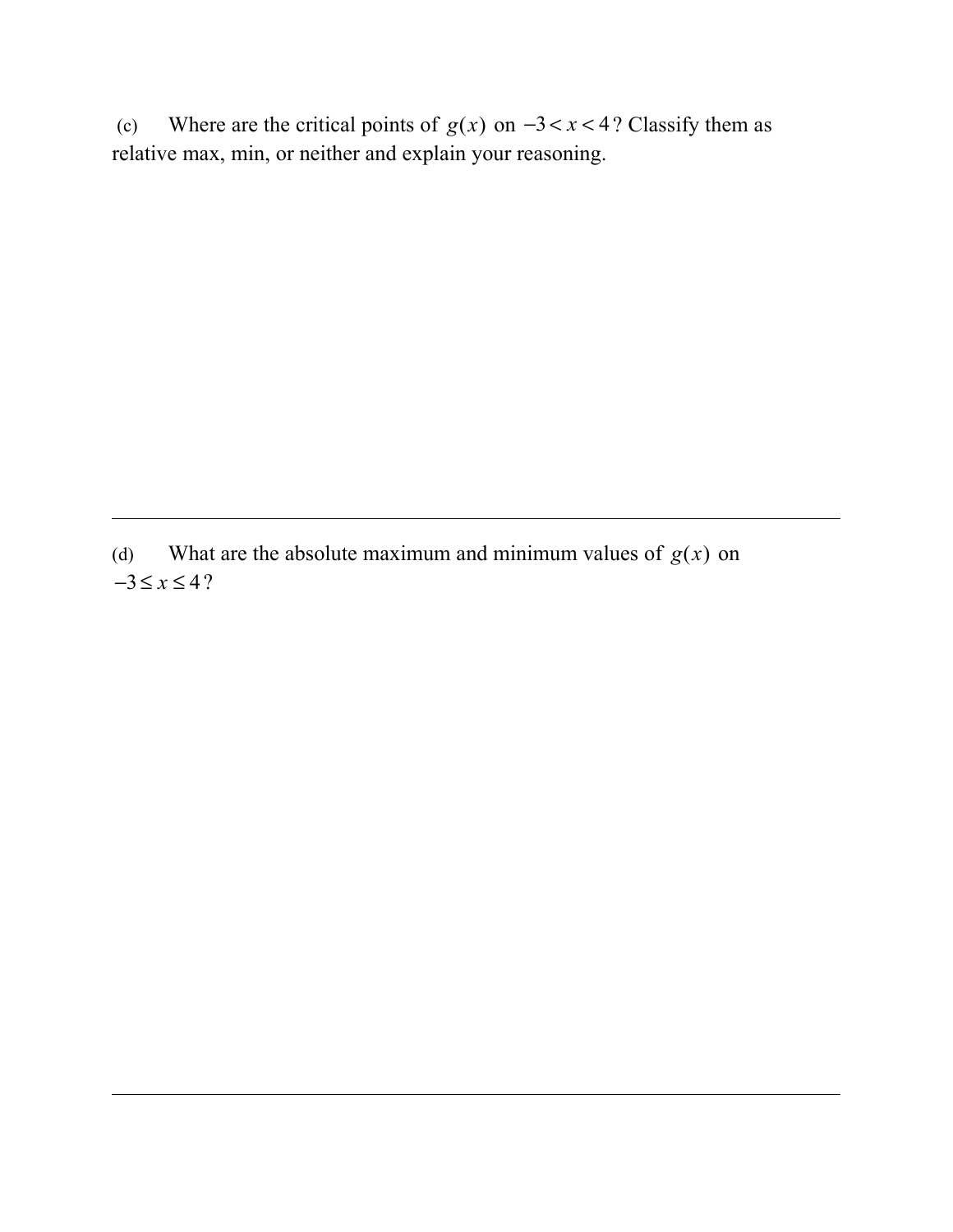(c) Where are the critical points of  $g(x)$  on  $-3 < x < 4$ ? Classify them as relative max, min, or neither and explain your reasoning.

(d) What are the absolute maximum and minimum values of  $g(x)$  on  $-3 \le x \le 4$ ?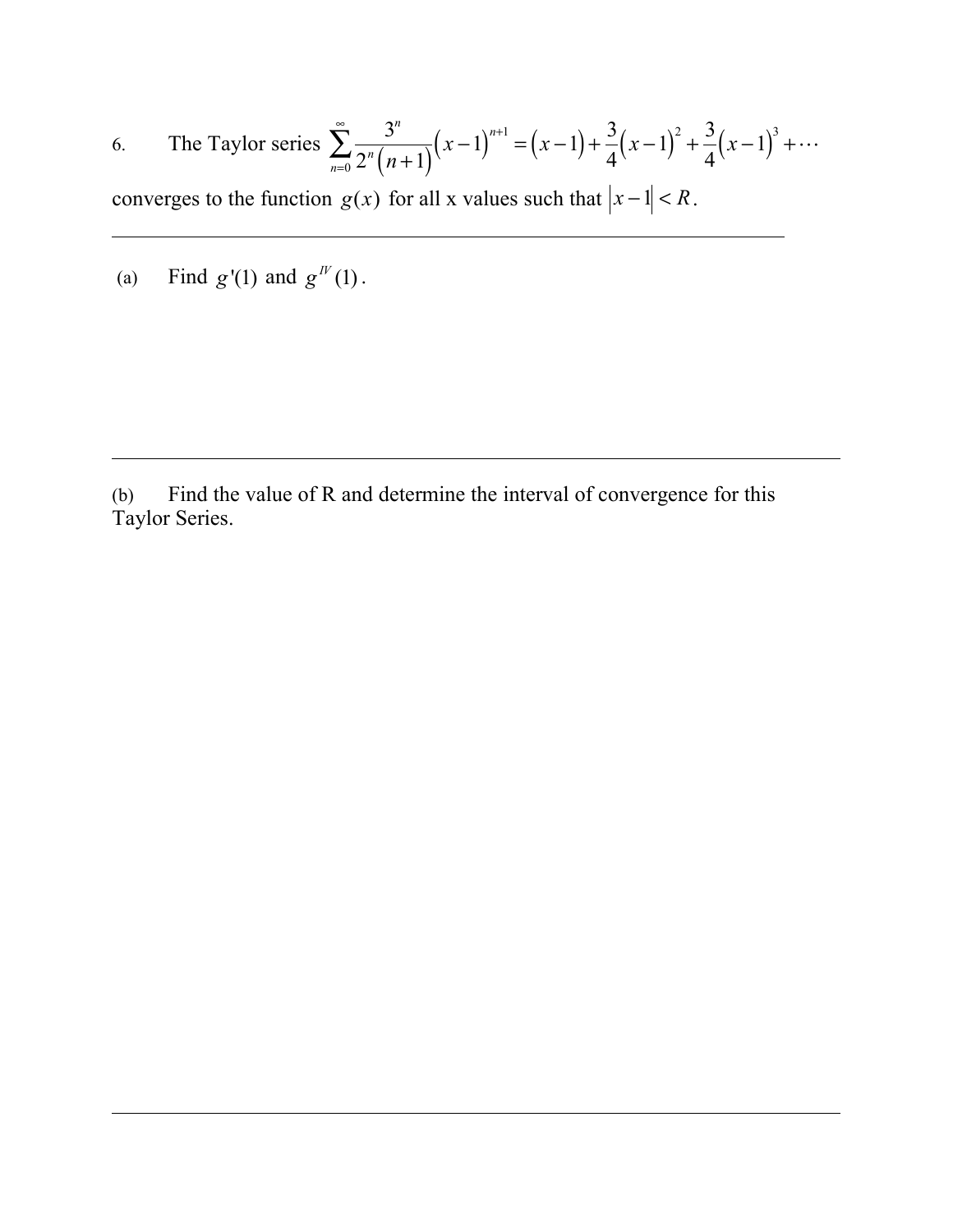6. The Taylor series 
$$
\sum_{n=0}^{\infty} \frac{3^n}{2^n (n+1)} (x-1)^{n+1} = (x-1) + \frac{3}{4} (x-1)^2 + \frac{3}{4} (x-1)^3 + \cdots
$$

converges to the function  $g(x)$  for all x values such that  $|x-1| < R$ .

(a) Find  $g'(1)$  and  $g''(1)$ .

(b) Find the value of R and determine the interval of convergence for this Taylor Series.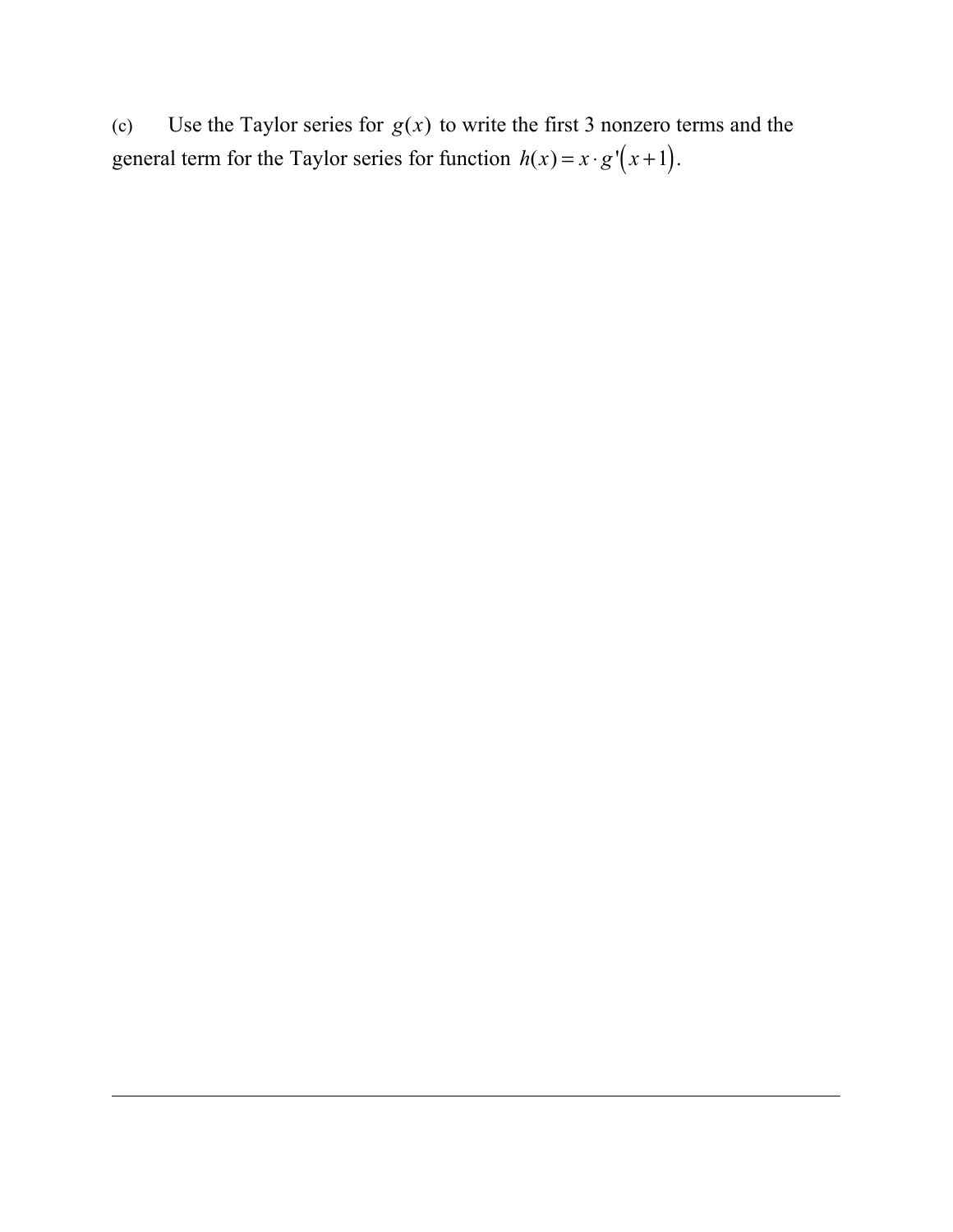(c) Use the Taylor series for  $g(x)$  to write the first 3 nonzero terms and the general term for the Taylor series for function  $h(x) = x \cdot g'(x+1)$ .